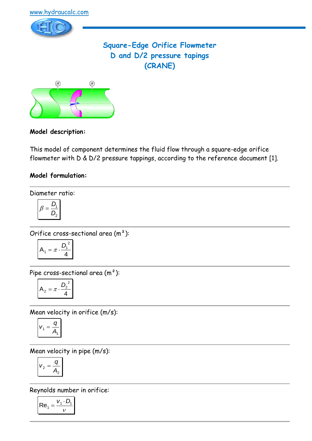

# **Square-Edge Orifice Flowmeter D and D/2 pressure tapings (CRANE)**



## **Model description:**

This model of component determines the fluid flow through a square-edge orifice flowmeter with D & D/2 pressure tappings, according to the reference document [1].

### **Model formulation:**

Diameter ratio:

$$
\beta = \frac{D_1}{D_2}
$$

Orifice cross-sectional area (m²):

$$
A_1 = \pi \cdot \frac{D_1^2}{4}
$$

Pipe cross-sectional area (m²):

$$
A_2 = \pi \cdot \frac{D_2^2}{4}
$$

Mean velocity in orifice (m/s):

$$
V_1 = \frac{q}{A_1}
$$

Mean velocity in pipe (m/s):

$$
v_2 = \frac{q}{A_2}
$$

Reynolds number in orifice:

$$
\mathsf{Re}_1 = \frac{v_1 \cdot D_1}{v}
$$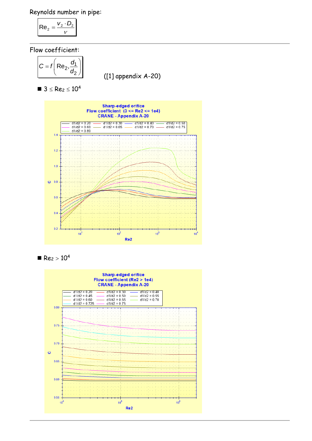Reynolds number in pipe:

$$
\mathsf{Re}_2 = \frac{v_2 \cdot D_2}{v}
$$

Flow coefficient:

$$
C = f\left(\text{Re}_2, \frac{d_1}{d_2}\right)
$$

([1] appendix A-20)

 $\blacksquare$  3  $\leq$  Re<sub>2</sub>  $\leq$  10<sup>4</sup>





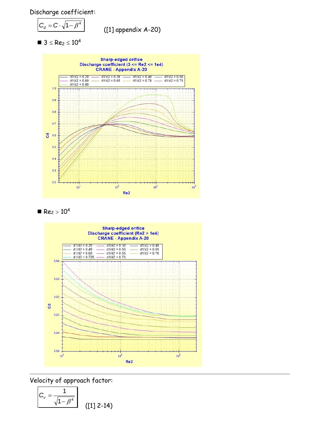Discharge coefficient:

$$
C_d = C \cdot \sqrt{1 - \beta^4}
$$

([1] appendix A-20)

 $\blacksquare$  3  $\leq$  Re<sub>2</sub>  $\leq$  10<sup>4</sup>







Velocity of approach factor:

$$
C_v = \frac{1}{\sqrt{1 - \beta^4}} \qquad (11 \quad 2-14)
$$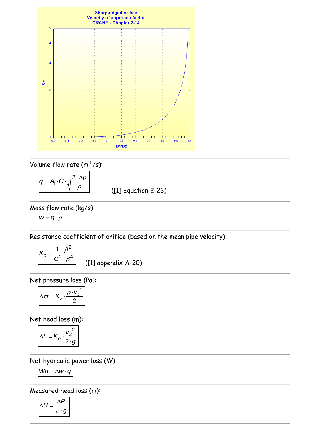

Volume flow rate  $(m^3/s)$ :

$$
q = A_1 \cdot C \cdot \sqrt{\frac{2 \cdot \Delta p}{\rho}}
$$

([1] Equation 2-23)

Mass flow rate (kg/s):

$$
w=q\cdot \rho
$$

Resistance coefficient of orifice (based on the mean pipe velocity):

$$
K_0 = \frac{1 - \beta^2}{C^2 \cdot \beta^4}
$$

([1] appendix A-20)

Net pressure loss (Pa):

$$
\Delta \varpi = K_o \cdot \frac{\rho \cdot v_2^2}{2}
$$

Net head loss (m):

$$
\Delta h = K_o \cdot \frac{v_2^2}{2 \cdot g}
$$

Net hydraulic power loss (W):

$$
Wh = \Delta w \cdot q
$$

Measured head loss (m):

$$
\Delta H = \frac{\Delta P}{\rho \cdot g}
$$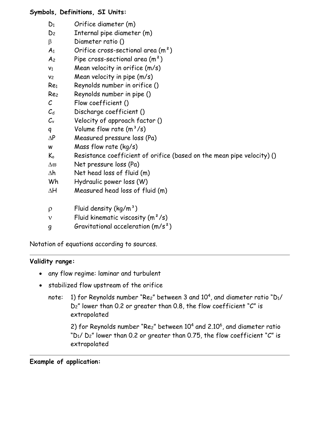### **Symbols, Definitions, SI Units:**

- D<sup>1</sup> Orifice diameter (m)
- D<sup>2</sup> Internal pipe diameter (m)
- B Diameter ratio ()
- $A_1$  Orifice cross-sectional area  $(m^2)$
- $A_2$  Pipe cross-sectional area  $(m^2)$
- $v_1$  Mean velocity in orifice  $(m/s)$
- $v_2$  Mean velocity in pipe  $(m/s)$
- Re<sup>1</sup> Reynolds number in orifice ()
- Re<sup>2</sup> Reynolds number in pipe ()
- C Flow coefficient ()
- $C_d$  Discharge coefficient ()
- $C_v$  Velocity of approach factor ()
- q Volume flow rate  $(m^3/s)$
- $\Delta P$  Measured pressure loss (Pa)
- w Mass flow rate (kg/s)
- $K_0$  Resistance coefficient of orifice (based on the mean pipe velocity) ()
- $\Delta \varpi$  Net pressure loss (Pa)
- $\Delta h$  Net head loss of fluid (m)
- Wh Hydraulic power loss (W)
- $\Delta H$  Measured head loss of fluid (m)
- $p$  Fluid density (kg/m<sup>3</sup>)
- $v$  Fluid kinematic viscosity  $(m^2/s)$
- g Gravitational acceleration (m/s²)

Notation of equations according to sources.

### **Validity range:**

- any flow regime: laminar and turbulent
- stabilized flow upstream of the orifice
	- note: 1) for Reynolds number "Re $z$ " between 3 and 10<sup>4</sup>, and diameter ratio "D1/ D2" lower than 0.2 or greater than 0.8, the flow coefficient "C" is extrapolated

2) for Reynolds number "Re<sub>2</sub>" between  $10<sup>4</sup>$  and  $2.10<sup>6</sup>$ , and diameter ratio  $D_1/D_2$ " lower than 0.2 or greater than 0.75, the flow coefficient "C" is extrapolated

#### **Example of application:**